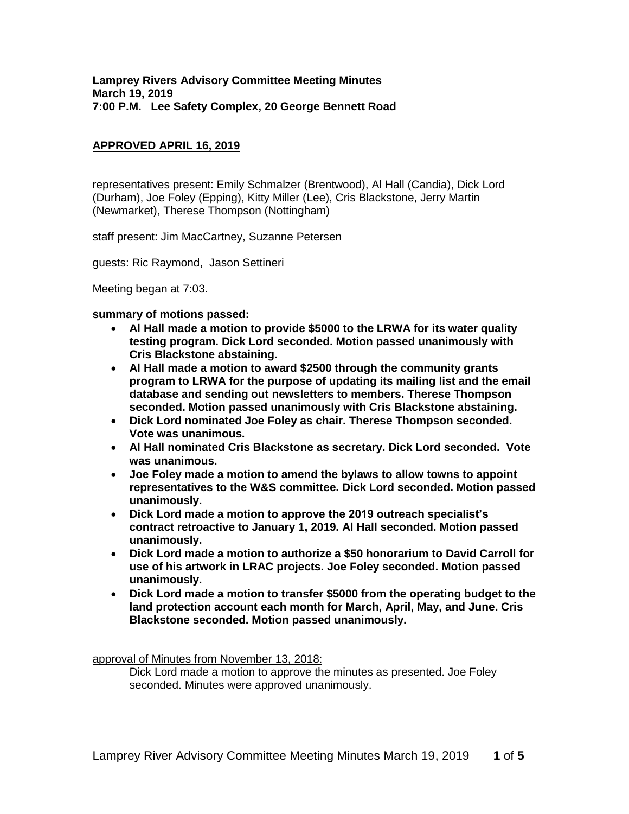## **APPROVED APRIL 16, 2019**

representatives present: Emily Schmalzer (Brentwood), Al Hall (Candia), Dick Lord (Durham), Joe Foley (Epping), Kitty Miller (Lee), Cris Blackstone, Jerry Martin (Newmarket), Therese Thompson (Nottingham)

staff present: Jim MacCartney, Suzanne Petersen

guests: Ric Raymond, Jason Settineri

Meeting began at 7:03.

#### **summary of motions passed:**

- **Al Hall made a motion to provide \$5000 to the LRWA for its water quality testing program. Dick Lord seconded. Motion passed unanimously with Cris Blackstone abstaining.**
- **Al Hall made a motion to award \$2500 through the community grants program to LRWA for the purpose of updating its mailing list and the email database and sending out newsletters to members. Therese Thompson seconded. Motion passed unanimously with Cris Blackstone abstaining.**
- **Dick Lord nominated Joe Foley as chair. Therese Thompson seconded. Vote was unanimous.**
- **Al Hall nominated Cris Blackstone as secretary. Dick Lord seconded. Vote was unanimous.**
- **Joe Foley made a motion to amend the bylaws to allow towns to appoint representatives to the W&S committee. Dick Lord seconded. Motion passed unanimously.**
- **Dick Lord made a motion to approve the 2019 outreach specialist's contract retroactive to January 1, 2019. Al Hall seconded. Motion passed unanimously.**
- **Dick Lord made a motion to authorize a \$50 honorarium to David Carroll for use of his artwork in LRAC projects. Joe Foley seconded. Motion passed unanimously.**
- **Dick Lord made a motion to transfer \$5000 from the operating budget to the land protection account each month for March, April, May, and June. Cris Blackstone seconded. Motion passed unanimously.**

approval of Minutes from November 13, 2018:

Dick Lord made a motion to approve the minutes as presented. Joe Foley seconded. Minutes were approved unanimously.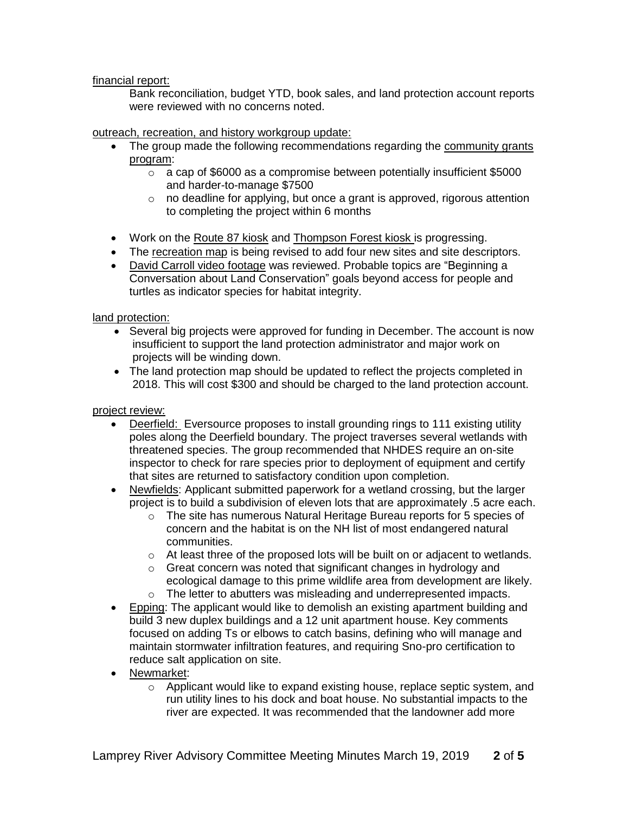financial report:

Bank reconciliation, budget YTD, book sales, and land protection account reports were reviewed with no concerns noted.

# outreach, recreation, and history workgroup update:

- The group made the following recommendations regarding the community grants program:
	- o a cap of \$6000 as a compromise between potentially insufficient \$5000 and harder-to-manage \$7500
	- o no deadline for applying, but once a grant is approved, rigorous attention to completing the project within 6 months
- Work on the Route 87 kiosk and Thompson Forest kiosk is progressing.
- The recreation map is being revised to add four new sites and site descriptors.
- David Carroll video footage was reviewed. Probable topics are "Beginning a Conversation about Land Conservation" goals beyond access for people and turtles as indicator species for habitat integrity.

land protection:

- Several big projects were approved for funding in December. The account is now insufficient to support the land protection administrator and major work on projects will be winding down.
- The land protection map should be updated to reflect the projects completed in 2018. This will cost \$300 and should be charged to the land protection account.

#### project review:

- Deerfield: Eversource proposes to install grounding rings to 111 existing utility poles along the Deerfield boundary. The project traverses several wetlands with threatened species. The group recommended that NHDES require an on-site inspector to check for rare species prior to deployment of equipment and certify that sites are returned to satisfactory condition upon completion.
- Newfields: Applicant submitted paperwork for a wetland crossing, but the larger project is to build a subdivision of eleven lots that are approximately .5 acre each.
	- o The site has numerous Natural Heritage Bureau reports for 5 species of concern and the habitat is on the NH list of most endangered natural communities.
	- o At least three of the proposed lots will be built on or adjacent to wetlands.
	- o Great concern was noted that significant changes in hydrology and ecological damage to this prime wildlife area from development are likely.
	- o The letter to abutters was misleading and underrepresented impacts.
- Epping: The applicant would like to demolish an existing apartment building and build 3 new duplex buildings and a 12 unit apartment house. Key comments focused on adding Ts or elbows to catch basins, defining who will manage and maintain stormwater infiltration features, and requiring Sno-pro certification to reduce salt application on site.
- Newmarket:
	- $\circ$  Applicant would like to expand existing house, replace septic system, and run utility lines to his dock and boat house. No substantial impacts to the river are expected. It was recommended that the landowner add more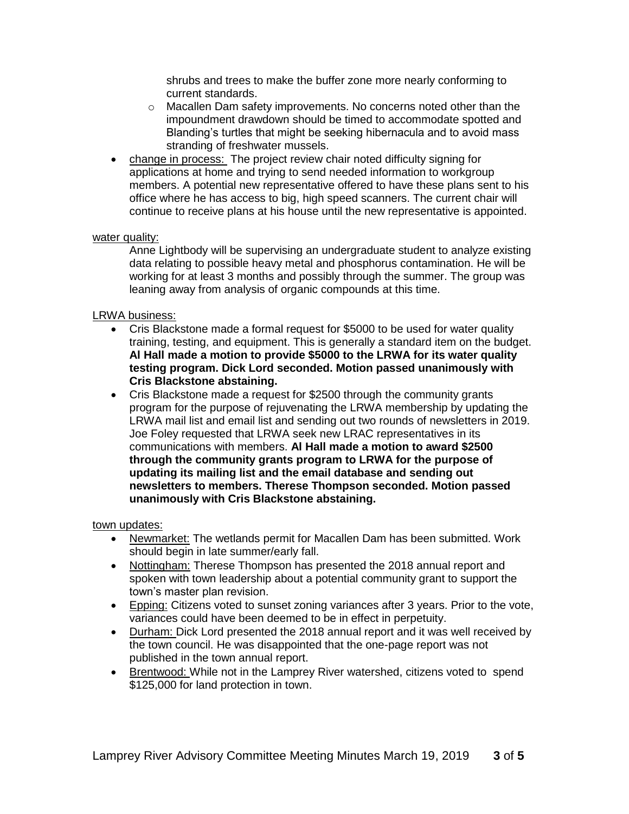shrubs and trees to make the buffer zone more nearly conforming to current standards.

- $\circ$  Macallen Dam safety improvements. No concerns noted other than the impoundment drawdown should be timed to accommodate spotted and Blanding's turtles that might be seeking hibernacula and to avoid mass stranding of freshwater mussels.
- change in process: The project review chair noted difficulty signing for applications at home and trying to send needed information to workgroup members. A potential new representative offered to have these plans sent to his office where he has access to big, high speed scanners. The current chair will continue to receive plans at his house until the new representative is appointed.

### water quality:

Anne Lightbody will be supervising an undergraduate student to analyze existing data relating to possible heavy metal and phosphorus contamination. He will be working for at least 3 months and possibly through the summer. The group was leaning away from analysis of organic compounds at this time.

### LRWA business:

- Cris Blackstone made a formal request for \$5000 to be used for water quality training, testing, and equipment. This is generally a standard item on the budget. **Al Hall made a motion to provide \$5000 to the LRWA for its water quality testing program. Dick Lord seconded. Motion passed unanimously with Cris Blackstone abstaining.**
- Cris Blackstone made a request for \$2500 through the community grants program for the purpose of rejuvenating the LRWA membership by updating the LRWA mail list and email list and sending out two rounds of newsletters in 2019. Joe Foley requested that LRWA seek new LRAC representatives in its communications with members. **Al Hall made a motion to award \$2500 through the community grants program to LRWA for the purpose of updating its mailing list and the email database and sending out newsletters to members. Therese Thompson seconded. Motion passed unanimously with Cris Blackstone abstaining.**

#### town updates:

- Newmarket: The wetlands permit for Macallen Dam has been submitted. Work should begin in late summer/early fall.
- Nottingham: Therese Thompson has presented the 2018 annual report and spoken with town leadership about a potential community grant to support the town's master plan revision.
- Epping: Citizens voted to sunset zoning variances after 3 years. Prior to the vote, variances could have been deemed to be in effect in perpetuity.
- Durham: Dick Lord presented the 2018 annual report and it was well received by the town council. He was disappointed that the one-page report was not published in the town annual report.
- Brentwood: While not in the Lamprey River watershed, citizens voted to spend \$125,000 for land protection in town.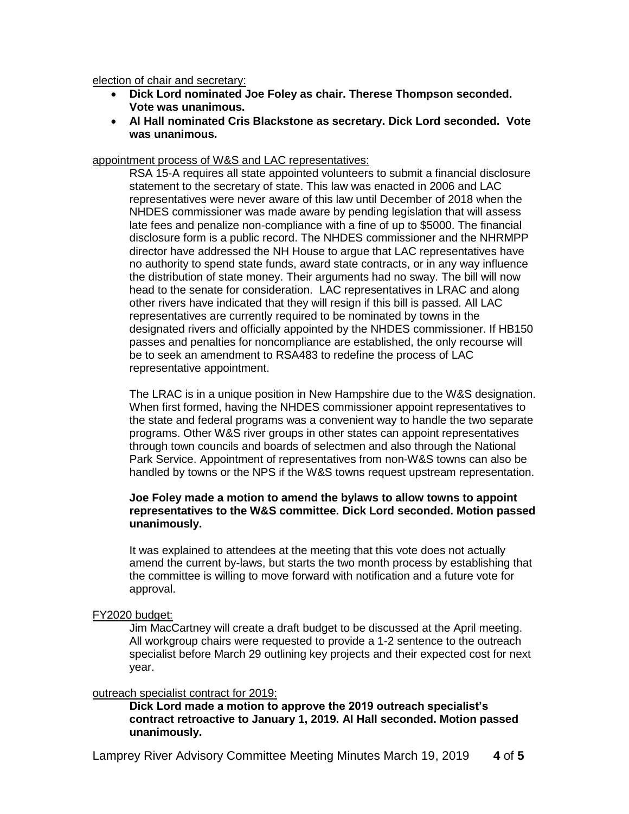election of chair and secretary:

- **Dick Lord nominated Joe Foley as chair. Therese Thompson seconded. Vote was unanimous.**
- **Al Hall nominated Cris Blackstone as secretary. Dick Lord seconded. Vote was unanimous.**

#### appointment process of W&S and LAC representatives:

RSA 15-A requires all state appointed volunteers to submit a financial disclosure statement to the secretary of state. This law was enacted in 2006 and LAC representatives were never aware of this law until December of 2018 when the NHDES commissioner was made aware by pending legislation that will assess late fees and penalize non-compliance with a fine of up to \$5000. The financial disclosure form is a public record. The NHDES commissioner and the NHRMPP director have addressed the NH House to argue that LAC representatives have no authority to spend state funds, award state contracts, or in any way influence the distribution of state money. Their arguments had no sway. The bill will now head to the senate for consideration. LAC representatives in LRAC and along other rivers have indicated that they will resign if this bill is passed. All LAC representatives are currently required to be nominated by towns in the designated rivers and officially appointed by the NHDES commissioner. If HB150 passes and penalties for noncompliance are established, the only recourse will be to seek an amendment to RSA483 to redefine the process of LAC representative appointment.

The LRAC is in a unique position in New Hampshire due to the W&S designation. When first formed, having the NHDES commissioner appoint representatives to the state and federal programs was a convenient way to handle the two separate programs. Other W&S river groups in other states can appoint representatives through town councils and boards of selectmen and also through the National Park Service. Appointment of representatives from non-W&S towns can also be handled by towns or the NPS if the W&S towns request upstream representation.

### **Joe Foley made a motion to amend the bylaws to allow towns to appoint representatives to the W&S committee. Dick Lord seconded. Motion passed unanimously.**

It was explained to attendees at the meeting that this vote does not actually amend the current by-laws, but starts the two month process by establishing that the committee is willing to move forward with notification and a future vote for approval.

FY2020 budget:

Jim MacCartney will create a draft budget to be discussed at the April meeting. All workgroup chairs were requested to provide a 1-2 sentence to the outreach specialist before March 29 outlining key projects and their expected cost for next year.

#### outreach specialist contract for 2019:

**Dick Lord made a motion to approve the 2019 outreach specialist's contract retroactive to January 1, 2019. Al Hall seconded. Motion passed unanimously.**